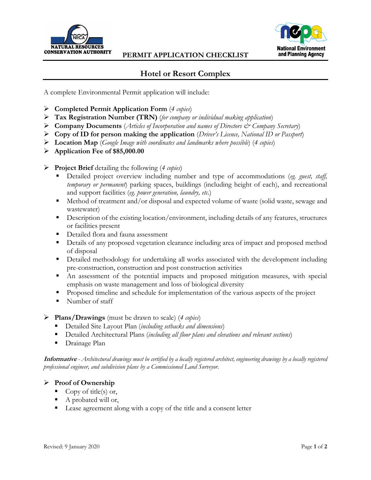



## **Hotel or Resort Complex**

A complete Environmental Permit application will include:

- **Completed Permit Application Form** (*4 copies*)
- **Tax Registration Number (TRN)** (*for company or individual making application*)
- **Company Documents** (*Articles of Incorporation and names of Directors & Company Secretary*)
- **Copy of ID for person making the application** (*Driver's Licence, National ID or Passport*)
- **Location Map** (*Google Image with coordinates and landmarks where possible*) (*4 copies*)
- **Application Fee of \$85,000.00**

**Project Brief** detailing the following (*4 copies*)

- Detailed project overview including number and type of accommodations (*eg. guest, staff, temporary or permanent*) parking spaces, buildings (including height of each), and recreational and support facilities (*eg. power generation, laundry, etc.*)
- Method of treatment and/or disposal and expected volume of waste (solid waste, sewage and wastewater)
- **Description of the existing location/environment, including details of any features, structures** or facilities present
- Detailed flora and fauna assessment
- Details of any proposed vegetation clearance including area of impact and proposed method of disposal
- **•** Detailed methodology for undertaking all works associated with the development including pre-construction, construction and post construction activities
- An assessment of the potential impacts and proposed mitigation measures, with special emphasis on waste management and loss of biological diversity
- **Proposed timeline and schedule for implementation of the various aspects of the project**
- Number of staff

## **Plans/Drawings** (must be drawn to scale) (*4 copies*)

- Detailed Site Layout Plan (*including setbacks and dimensions*)
- Detailed Architectural Plans (*including all floor plans and elevations and relevant sections*)
- **Drainage Plan**

**Informative** *- Architectural drawings must be certified by a locally registered architect, engineering drawings by a locally registered professional engineer, and subdivision plans by a Commissioned Land Surveyor.*

## **Proof of Ownership**

- Copy of title(s) or,
- A probated will or,
- Lease agreement along with a copy of the title and a consent letter